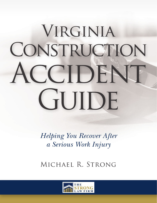# VIRGINIA CONSTRUCTION ACCIDENT GUIDE

*Helping You Recover After a Serious Work Injury*

Michael R. Strong

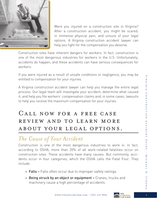

Were you injured on a construction site in Virginia? After a construction accident, you might be scared, in immense physical pain, and unsure of your legal options. A Virginia construction accident lawyer can help you fight for the compensation you deserve.

Construction sites have inherent dangers for workers. In fact, construction is one of the most dangerous industries for workers in the U.S. Unfortunately, accidents do happen, and these accidents can have serious consequences for workers.

If you were injured as a result of unsafe conditions or negligence, you may be entitled to compensation for your injuries.

A Virginia construction accident lawyer can help you manage the entire legal process. Our legal team will investigate your accident, determine what caused it, and help you file workers' compensation claims and, in some cases, lawsuits to help you receive the maximum compensation for your injuries.

### Call now for a free case review and to learn more about your legal options.

## *The Cause of Your Accident*

Construction is one of the most dangerous industries to work in. In fact, according to OSHA, more than 20% of all work-related fatalities occur on construction sites. These accidents have many causes. But commonly, accidents occur in four categories, which the OSHA calls the Fatal Four. They include:

- » Falls Falls often occur due to improper safety railings.
- » Being struck by an object or equipment Cranes, trucks and machinery cause a high percentage of accidents.



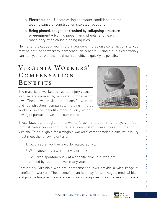- » Electrocution Unsafe wiring and water conditions are the leading cause of construction site electrocutions.
- » Being pinned, caught, or crushed by collapsing structure or equipment – Rolling pipes, truck wheels, and heavy machinery often cause pinning injuries.

No matter the cause of your injury, if you were injured on a construction site, you may be entitled to workers' compensation benefits. Hiring a qualified attorney can help you recover the maximum benefits as quickly as possible.

## Virginia Workers' **COMPENSATION** BENEFITS

The majority of workplace-related injury cases in Virginia are covered by workers' compensation laws. These laws provide protections for workers and construction companies, helping injured workers receive benefits more quickly without having to pursue drawn-out court cases.



These laws do, though, limit a worker's ability to sue his employer. In fact, in most cases, you cannot pursue a lawsuit if you were injured on the job in Virginia. To be eligible for a Virginia workers' compensation claim, your injury must meet the following criteria:

- 1. Occurred at work or a work-related activity
- 2. Was caused by a work activity or task
- 3. Occurred spontaneously at a specific time, e.g. was not caused by repetition over many years

Fortunately, Virginia's workers' compensation laws provide a wide range of benefits for workers. These benefits can help pay for lost wages, medical bills, and provide long-term assistance for serious injuries. If you believe you have a

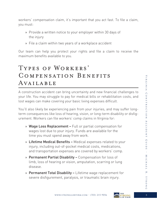workers' compensation claim, it's important that you act fast. To file a claim, you must:

- » Provide a written notice to your employer within 30 days of the injury
- » File a claim within two years of a workplace accident

Our team can help you protect your rights and file a claim to receive the maximum benefits available to you.

## Types of Workers' Compensation Benefits AVAILABLE

A construction accident can bring uncertainty and new financial challenges to your life. You may struggle to pay for medical bills or rehabilitation costs, and lost wages can make covering your basic living expenses difficult.

You'll also likely be experiencing pain from your injuries, and may suffer longterm consequences like loss of hearing, vision, or long-term disability or disfigurement. Workers can file workers' comp claims in Virginia for:

- » Wage Loss Replacement Full or partial compensation for wages lost due to your injury. Funds are available for the time you must spend away from work.
- » Lifetime Medical Benefits Medical expenses related to your injury, including out-of-pocket medical costs, medications, and transportation expenses are covered by workers' comp.
- » Permanent Partial Disability Compensation for loss of limb, loss of hearing or vision, amputation, scarring or lung disease.
- » Permanent Total Disability Lifetime wage replacement for severe disfigurement, paralysis, or traumatic brain injury.

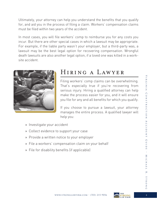Ultimately, your attorney can help you understand the benefits that you qualify for, and aid you in the process of filing a claim. Workers' compensation claims must be filed within two years of the accident.

In most cases, you will file workers' comp to reimburse you for any costs you incur. But there are other special cases in which a lawsuit may be appropriate. For example, if the liable party wasn't your employer, but a third-party was, a lawsuit may be the best legal option for recovering compensation. Wrongful death lawsuits are also another legal option, if a loved one was killed in a worksite accident.



## Hiring a Lawyer

Filing workers' comp claims can be overwhelming. That's especially true if you're recovering from serious injury. Hiring a qualified attorney can help make the process easier for you, and it will ensure you file for any and all benefits for which you qualify.

If you choose to pursue a lawsuit, your attorney manages the entire process. A qualified lawyer will help you:

- » Investigate your accident
- » Collect evidence to support your case
- » Provide a written notice to your employer
- » File a workers' compensation claim on your behalf
- » File for disability benefits (if applicable)

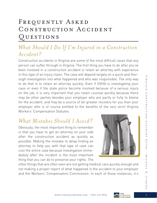## FREQUENTLY ASKED CONSTRUCTION ACCIDENT Questions

#### *What Should I Do If I'm Injured in a Construction Accident?*

Construction accidents in Virginia are some of the most difficult cases that any person can suffer through in Virginia. The first thing you have to do after you've been involved in a construction accident is retain an attorney with experience in this type of an injury claim. The case will depend largely on a quick and thorough investigation into what happened and who was responsible. The only way to do that is to retain an attorney quickly. Even if OSHA is investigating your case or even if the state police become involved because of a serious injury on the job, it is very important that you retain counsel quickly because there may be other parties besides your employer who are partly or fully to blame for the accident, and may be a source of far greater recovery for you than your employer who is of course entitled to the benefits of the very strict Virginia Workers' Compensation Statutes.

#### *What Mistakes Should I Avoid?*

Obviously, the most important thing to remember is that you have to get an attorney on your side after the construction accident as quickly as possible. Making the mistake to delay finding an attorney to help you with that type of case can cost the entire case because investigation immediately after the incident is the most important thing that you can do to preserve your rights. The



other things that are often seen are not getting medical care quickly enough and not making a proper report of what happened in the accident to your employer and the Workers' Compensation Commission. In each of those instances, it's

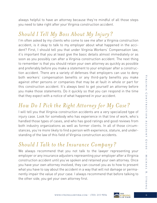always helpful to have an attorney because they're mindful of all those steps you need to take right after your Virginia construction accident.

#### *Should I Tell My Boss About My Injury?*

I'm often asked by my clients who come to see me after a Virginia construction accident, is it okay to talk to my employer about what happened in the accident? First, I should tell you that under Virginia Workers' Compensation law, it's important that you at least give the basic details almost immediately or as soon as you possibly can after a Virginia construction accident. The next thing to remember is that you should retain your own attorney as quickly as possible and preferably before you make a statement to your employer after a construction accident. There are a variety of defenses that employers can use to deny both workers' compensation benefits or any third-party benefits you make against other persons or companies that may be at fault in whole or part for this construction accident. It's always best to get yourself an attorney before you make those statements. Do it quickly so that you can respond in the time that they expect with a notice of what happened in your accident.

## *How Do I Pick the Right Attorney for My Case?*

I will tell you that Virginia construction accidents are a very specialized type of injury case. Look for somebody who has experience in that line of work, who's handled those types of cases, and who has good ratings and good reviews from both industry organizations as well as former clients. In all of those circumstances, you're more likely to find a person with experience, stature, and understanding of the law of this field of Virginia construction accidents.

#### *Should I Talk to the Insurance Company?*

We always recommend that you not talk to the lawyer representing your employer or any insurance adjusters representing your employer after a Virginia construction accident until you've spoken and retained your own attorney. Once you have your own attorney involved, they can counsel you as to how to present what you have to say about the accident in a way that will not damage or permanently impair the value of your case. I always recommend that before talking to the other side, you get your own attorney first.



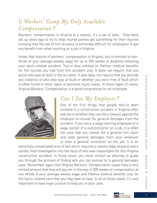#### *Is Workers' Comp My Only Available Compensation?*

Workers' compensation in Virginia is a statute. It's a set of laws. They were set up years ago to try to help injured parties get something for their injuries knowing that the law of tort recovery is extremely difficult for employees to get any benefit from when working on a job in Virginia.

Under that statute of workers' compensation in Virginia, you're entitled to twothirds of your average weekly wage for up to 500 weeks of disability following your work-related accident. You're also entitled to lifetime medical benefits for the injuries you had from this accident only. It does not require that you prove who was at fault in the accident. It also does not require that you provide any evidence of who else was at fault or whether you were free of fault which is often found in other types of personal injury cases. In those types of cases, Virginia Workers' Compensation is a good compromise for an employee.



### *Can I Sue My Employer?*

One of the first things that people who've been involved in a construction accident in Virginia often ask me is whether they can file a lawsuit against the employer to recover for general damages from the accident. If you were a wage-earning employee or a wage earner of a subcontractor on a job, it is often the case that you cannot file a general tort claim and seek general damages from your employer or even a general contractor on the job. It is an

extremely complicated area of law which requires a careful legal analysis and a careful field investigation into the facts of who was responsible for this Virginia construction accident. In those cases, you must contact an attorney to guide you through the process of finding who you can pursue for a general damages case. Remember again that Virginia Workers' Compensation cases have a very limited amount that they will pay for in the way of 500 weeks of compensation at two-thirds of your average weekly wage and lifetime medical benefits only for the injury-related care that you may have to have. In all of those cases, it's very important to have legal counsel to help you in your case.



STRON

 $\Omega$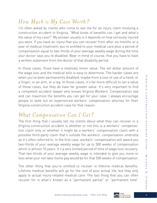#### *How Much is My Case Worth?*

I'm often asked by clients who come to see me for an injury claim involving a construction accident in Virginia, "What kinds of benefits can I get and what's the value of my case?" My answer usually is it depends on how seriously injured you were. If you have an injury that you can recover from after six months or a year of medical treatment, you're entitled to your medical care plus a period of compensation equal to two-thirds of your average weekly wage during the time your doctor says you're disabled. Bear in mind of course, that you have to have a written statement from the doctor of that disability period.

In those cases, those have a relatively minor value. The set dollar amount of the wage loss and the medical bills is easy to determine. The harder cases are when you've been permanently disabled, maybe from a loss of use of a hand, or a finger, or an arm, or a leg. In those cases, it's far more difficult to set a value of those cases, but they do have far greater value. It's very important to find a competent accident lawyer who knows Virginia Workers' Compensation law and can maximize the benefits you can get for your case. I always encourage people to seek out an experienced workers' compensation attorney for their Virginia construction accident case for that reason.

#### *What Compensation Can I Get?*

The first thing that I usually tell my clients about what they can recover in a Virginia construction accident is whether or not this is a workers' compensation claim only or whether it might be a workers' compensation claim with a possible third-party claim that's outside the workers' compensation umbrella as it's often referred to. In the first case, workers' compensation will award you two-thirds of your average weekly wage for up to 500 weeks of compensation which is almost 10 years. It's a very limited period of time of wage loss recovery. That two-thirds of your average weekly wage is intended to give you more or less what your net take-home pay would be for that 500 weeks of compensation.

The other thing that you're entitled to recover is lifetime medical benefits. Lifetime medical benefits will go for the rest of your actual life, but they only apply to actual injury-related medical care. The last thing that you can often recover for is what's known as a "permanent partial" or "permanent total"



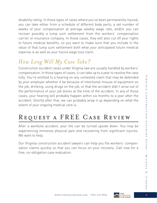disability rating. In those types of cases where you've been permanently injured, you can take either from a schedule of different body parts, a set number of weeks of your compensation at average weekly wage rate, and/or you can recover possibly a lump sum settlement from the workers' compensation carrier or insurance company. In those cases, they will also cut off your rights to future medical benefits, so you want to make sure that you include in the value of that lump sum settlement both what your anticipated future medical expense is as well as your future wage loss claim.

## *How Long Will My Case Take?*

Construction accident cases under Virginia law are usually handled by workers' compensation. In those types of cases, it can take up to a year to resolve the case fully. You're entitled to a hearing on any contested claim that may be defended by your employer whether it be because of intentional misuse of equipment on the job, drinking, using drugs on the job, or that the accident didn't arise out of the performance of your job duties at the time of the accident. In any of those cases, your hearing will probably happen within six months to a year after the accident. Shortly after that, we can probably wrap it up depending on what the extent of your ongoing medical care is.

## Request a FREE Case Review

After a worksite accident, your life can be turned upside down. You may be experiencing immense physical pain and recovering from significant injuries. We want to help.

Our Virginia construction accident lawyers can help you file workers' compensation claims quickly so that you can focus on your recovery. Call now for a free, no-obligation case evaluation.

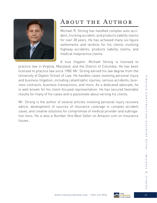

## About the Author

Michael R. Strong has handled complex auto accident, trucking accident, and products liability claims for over 38 years. He has achieved many six-figure settlements and verdicts for his clients involving highway accidents, products liability claims, and medical malpractice claims.

A true litigator, Michael Strong is licensed to practice law in Virginia, Maryland, and the District of Columbia. He has been licensed to practice law since 1980. Mr. Strong earned his law degree from the University of Dayton School of Law. He handles cases involving personal injury and business litigation, including catastrophic injuries, serious accidents, business contracts, business transactions, and more. As a dedicated advocate, he is well-known for his client-focused representation. He has secured favorable results for many of his cases and is passionate about serving his clients.

Mr. Strong is the author of several articles involving personal injury recovery advice, development of sources of insurance coverage in complex accident cases, and creative solutions for compromise of medical provider and subrogation liens. He is also a Number One Best Seller on Amazon com on Insurance Issues.